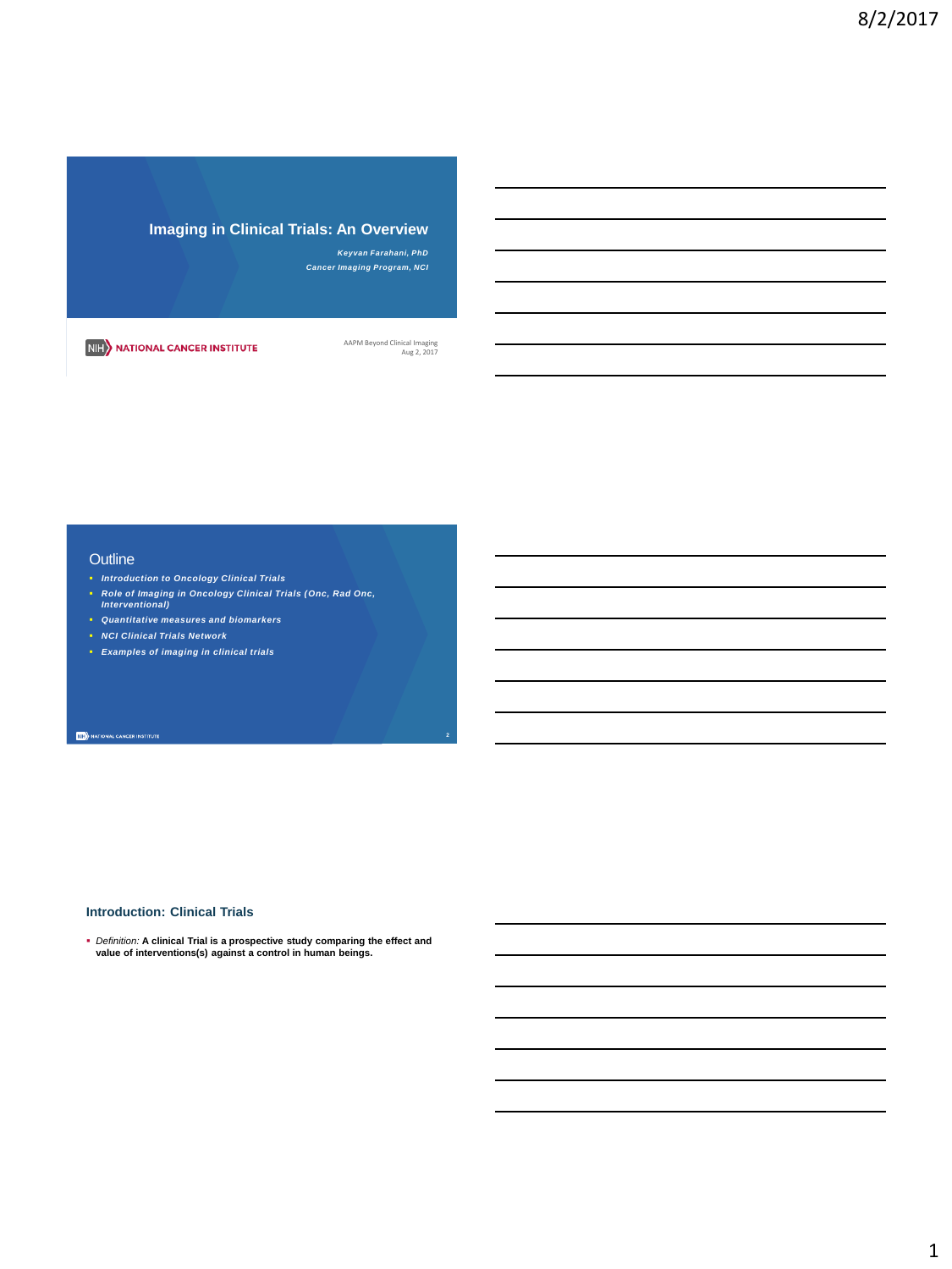**Imaging in Clinical Trials: An Overview**

*Keyvan Farahani, PhD Cancer Imaging Program, NCI*

NIH NATIONAL CANCER INSTITUTE

AAPM Beyond Clinical Imaging Aug 2, 2017

## **Outline**

- *Introduction to Oncology Clinical Trials*
- *Role of Imaging in Oncology Clinical Trials (Onc, Rad Onc, Interventional)*
- *Quantitative measures and biomarkers*
- *NCI Clinical Trials Network*
- *Examples of imaging in clinical trials*

**NIE** NATIONAL CANCER INSTITUTE

#### **Introduction: Clinical Trials**

*Definition:* **A clinical Trial is a prospective study comparing the effect and value of interventions(s) against a control in human beings.**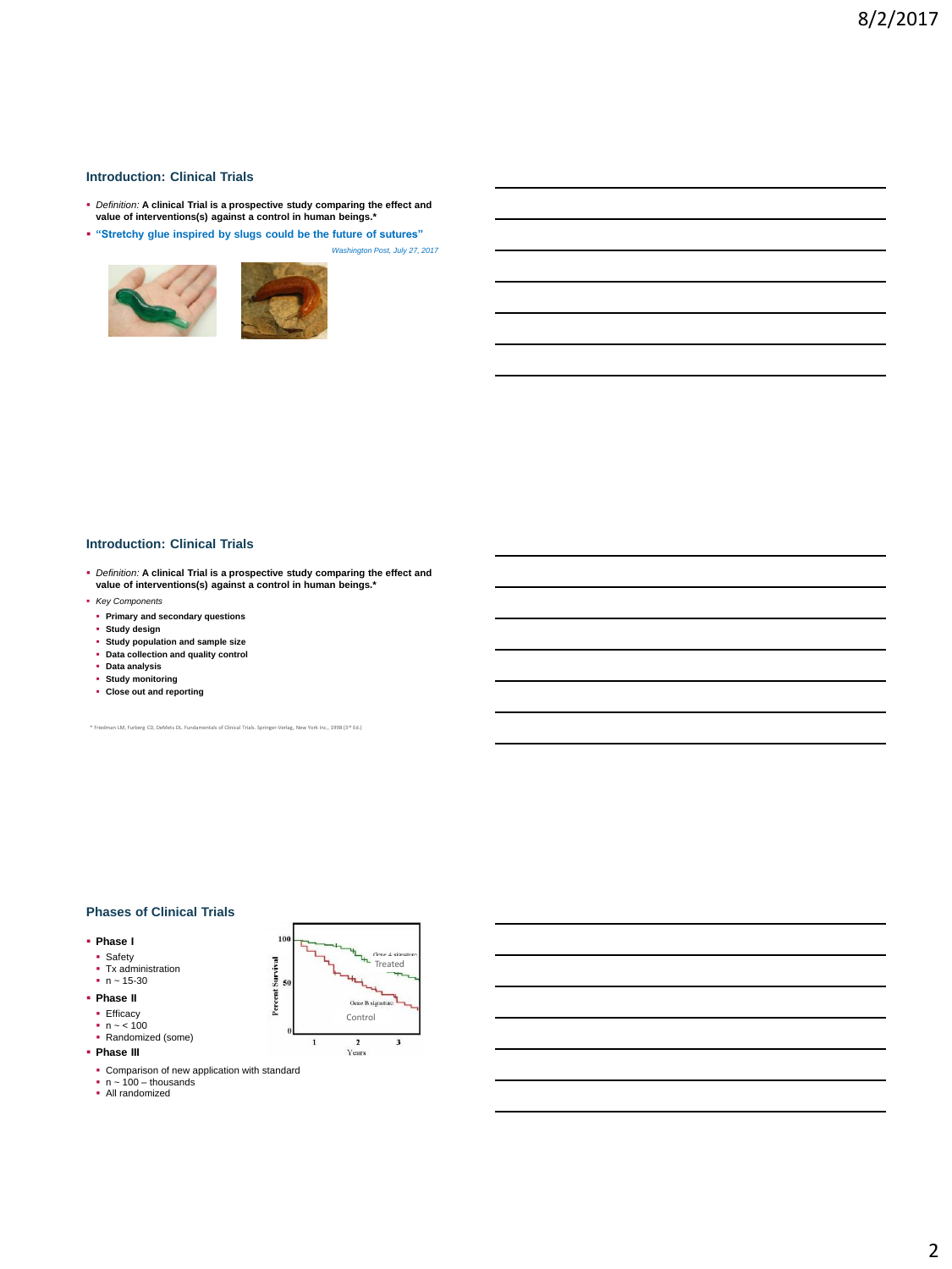## **Introduction: Clinical Trials**

- *Definition:* **A clinical Trial is a prospective study comparing the effect and value of interventions(s) against a control in human beings.\***
- **"Stretchy glue inspired by slugs could be the future of sutures"**





*Washington Post, July 27, 2017*

## **Introduction: Clinical Trials**

- *Definition:* **A clinical Trial is a prospective study comparing the effect and value of interventions(s) against a control in human beings.\***
- *Key Components*
- **Primary and secondary questions**
- **Study design**
- **Study population and sample size Data collection and quality control**
- 
- **Data analysis Study monitoring**
- **Close out and reporting**
- 

\* Friedman LM, Furberg CD, DeMets DL. Fundamentals of Clinical Trials. Springer-Verlag, New York Inc., 1998 (3rd Ed.)

#### **Phases of Clinical Trials**

#### **Phase I**

- Safety
- Tx administration n ~ 15-30
- 
- **Phase II**
- Efficacy n ~ < 100
- Randomized (some)
- **Phase III**
	-
- Comparison of new application with standard<br>■ n ~ 100 thousands<br>■ All randomized
- 



2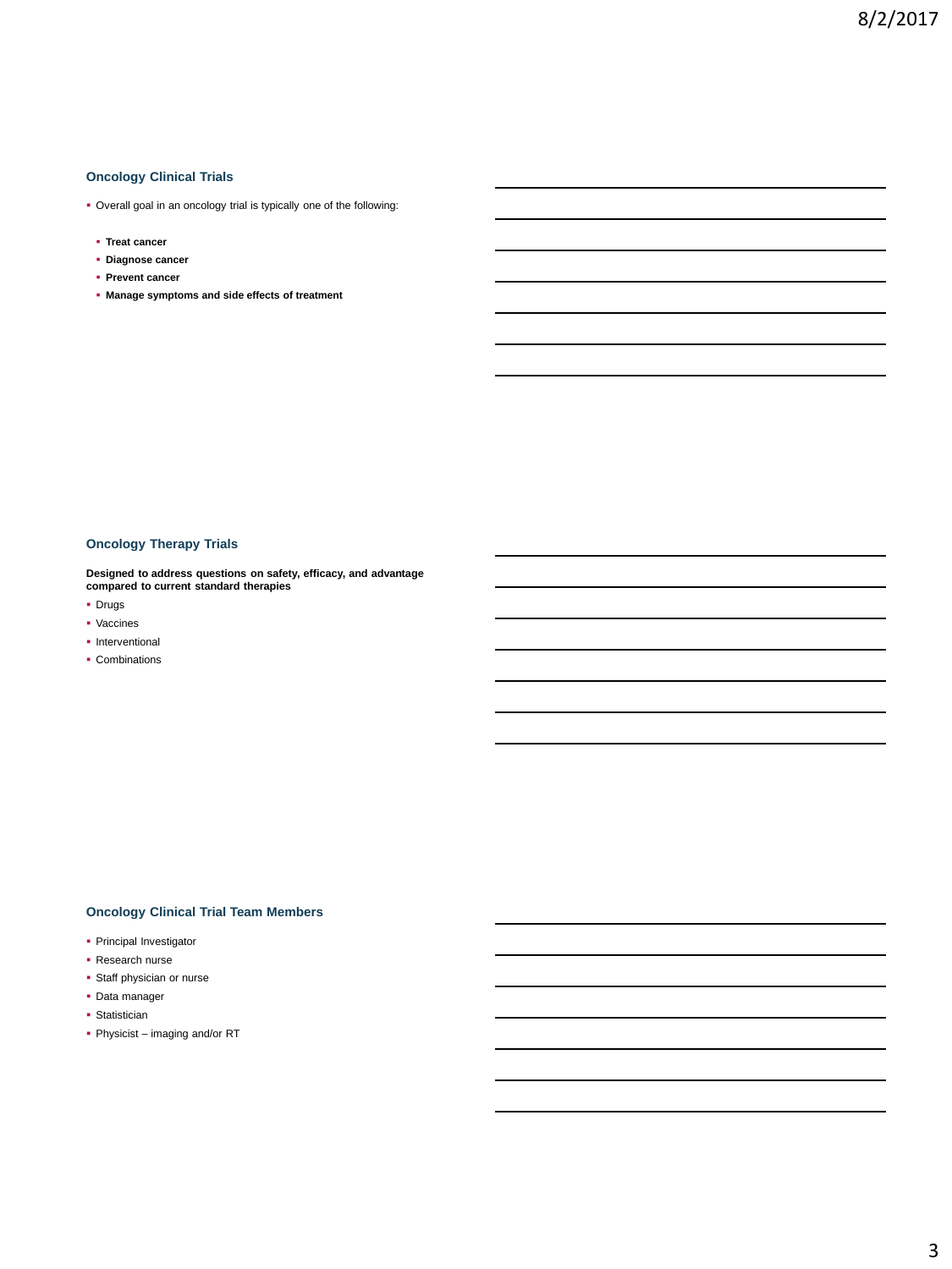## **Oncology Clinical Trials**

- Overall goal in an oncology trial is typically one of the following:
- **Treat cancer**
- **Diagnose cancer**
- **Prevent cancer**
- **Manage symptoms and side effects of treatment**

## **Oncology Therapy Trials**

**Designed to address questions on safety, efficacy, and advantage compared to current standard therapies**

- **•** Drugs
- **·** Vaccines
- **Interventional**
- Combinations

## **Oncology Clinical Trial Team Members**

- Principal Investigator
- Research nurse
- **Staff physician or nurse**
- Data manager
- **Statistician**
- Physicist imaging and/or RT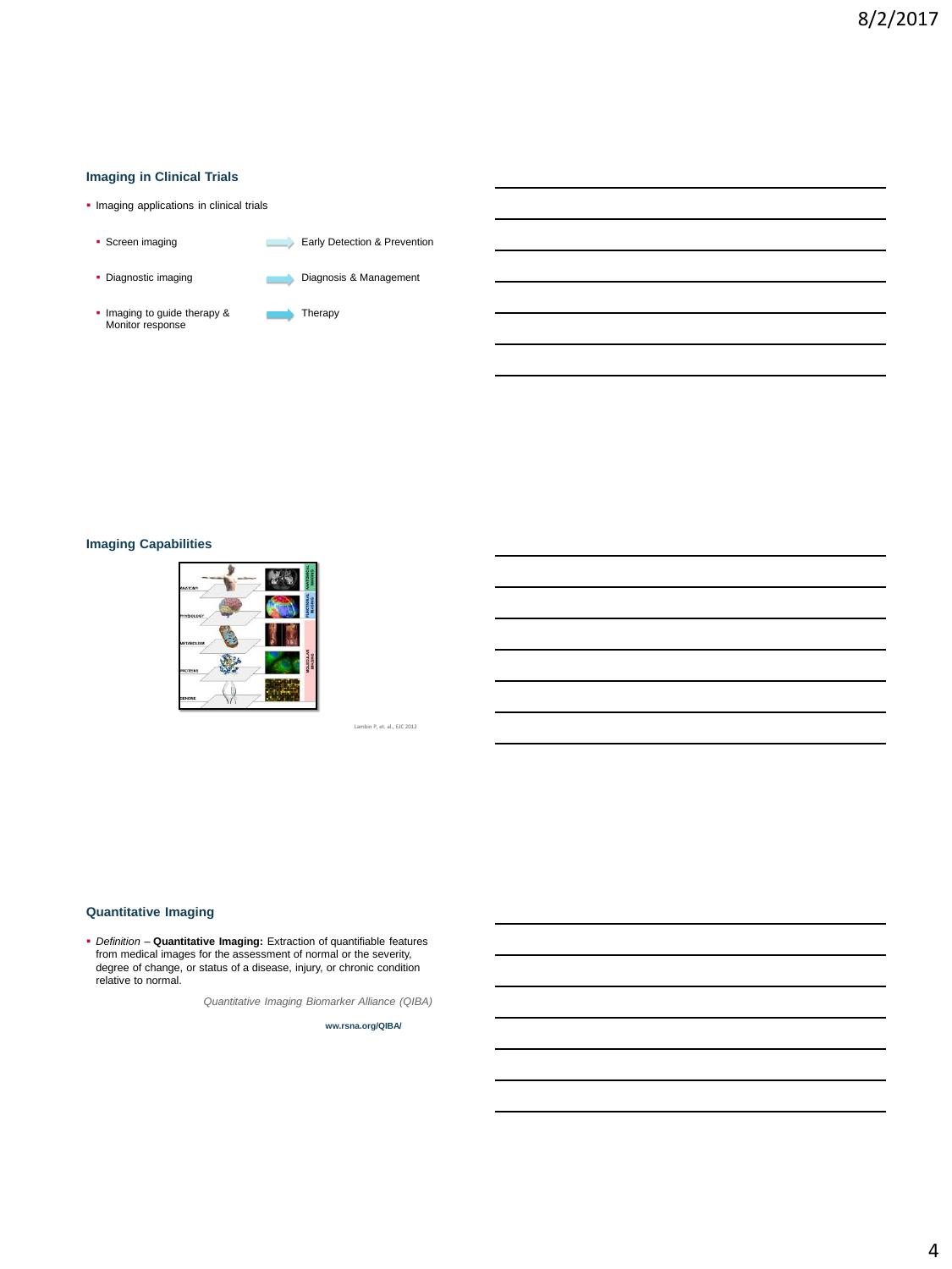## **Imaging in Clinical Trials**

- **· Imaging applications in clinical trials**
- Screen imaging Early Detection & Prevention • Diagnostic imaging **Diagnosis & Management** Imaging to guide therapy & **Therapy**<br>Monitor response

## **Imaging Capabilities**



hbin P, et. al., EJC 2012

## **Quantitative Imaging**

 *Definition –* **Quantitative Imaging:** Extraction of quantifiable features from medical images for the assessment of normal or the severity, degree of change, or status of a disease, injury, or chronic condition relative to normal.

*Quantitative Imaging Biomarker Alliance (QIBA)*

**ww.rsna.org/QIBA/**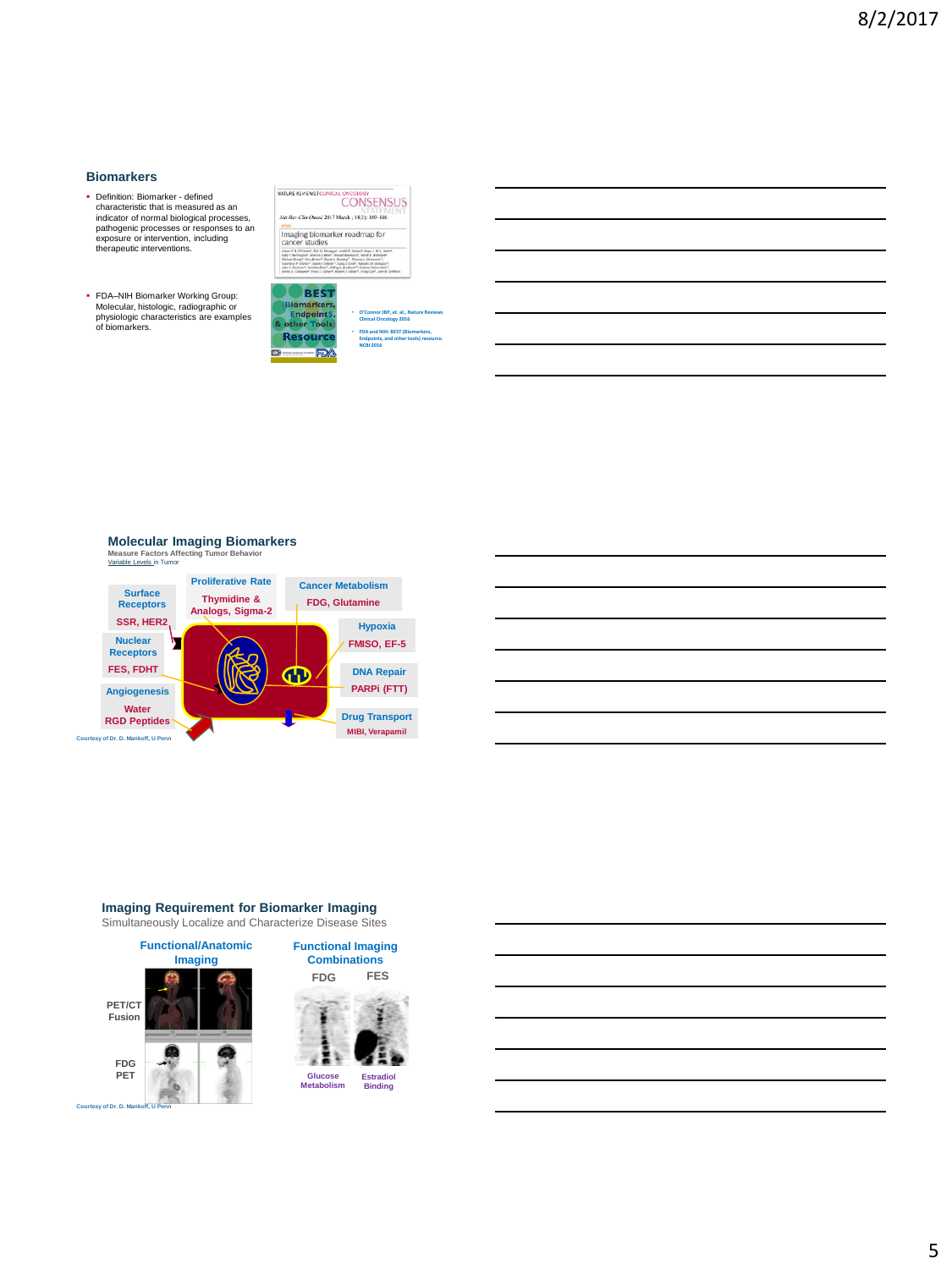## **Biomarkers**

- Definition: Biomarker defined characteristic that is measured as an indicator of normal biological processes, pathogenic processes or responses to an exposure or intervention, including therapeutic interventions.
- FDA–NIH Biomarker Working Group: Molecular, histologic, radiographic or physiologic characteristics are examples of biomarkers.

| NATURE REVIEWS   CLINICAL ONCOLOGY<br>Nat Rev Clin Oncol, 2017 March ; 14(3): 169-186.<br><b>SPEN</b>                                                                                                                                                                                                                                                                                                                                                                                              | <b>CONSENSUS</b>                                                                                         |
|----------------------------------------------------------------------------------------------------------------------------------------------------------------------------------------------------------------------------------------------------------------------------------------------------------------------------------------------------------------------------------------------------------------------------------------------------------------------------------------------------|----------------------------------------------------------------------------------------------------------|
| Imaging biomarker roadmap for<br>cancer studies                                                                                                                                                                                                                                                                                                                                                                                                                                                    |                                                                                                          |
| Janes P. B. (Classes", Did O. Abossue!, Judith E. Aduses!, Huss.), W. L. Autor.<br>Solo E Aumocraf, Andrea J. Boot, Bookl Bodinard, Sand E Anterior,<br>Michael Bratti", Clea Brawn", David L. Bockley", Thomas L. Chenwert",<br>"Laurence if Clorke", Sandro Colletter", Cara J. Cook", Nandito M. deSougar*<br>John C. Dickson **, Corolline Diver  Jeffree L. Evelbock **, Coronae Follow Falur *.<br>Firsts A. Collader*, Foxy J. Cilbert*, Bobert J. Cillion*, 15du Colf., John B. Crittsher, |                                                                                                          |
| <b>BEST</b>                                                                                                                                                                                                                                                                                                                                                                                                                                                                                        |                                                                                                          |
| (Biomarkers,<br><b>EndpointS,</b><br>& other Tools)                                                                                                                                                                                                                                                                                                                                                                                                                                                | O'Connor JBP, et, al., Nature Reviews<br><b>Clinical Oncology 2016</b><br>FDA and NIH: BEST (Biomarkers, |

## **Molecular Imaging Biomarkers**

**Measure Factors Affecting Tumor Behavior**  Variable Levels in Tumor





## **Imaging Requirement for Biomarker Imaging**

Simultaneously Localize and Characterize Disease Sites

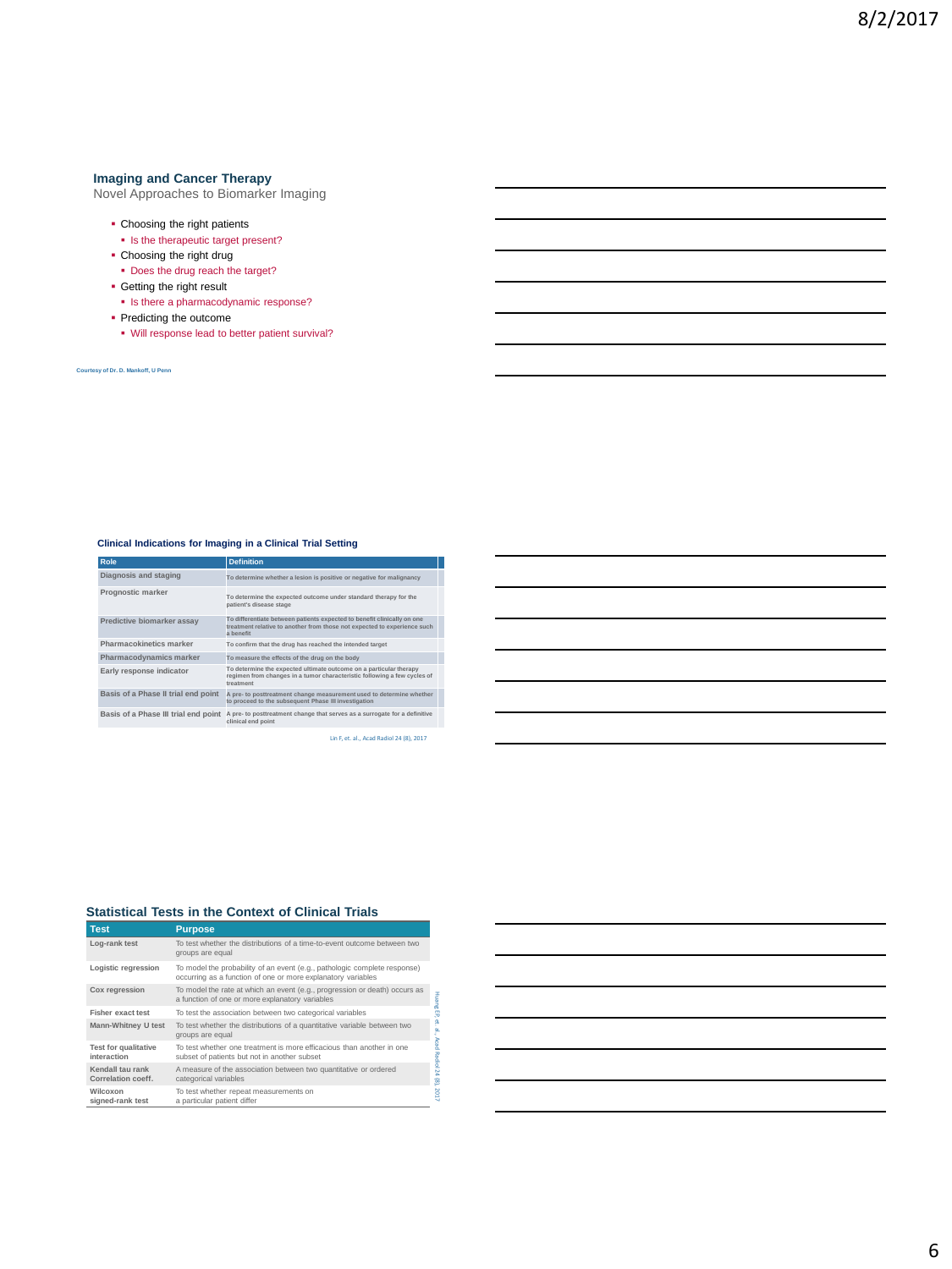#### **Imaging and Cancer Therapy**

Novel Approaches to Biomarker Imaging

- Choosing the right patients
- **In the therapeutic target present?**
- Choosing the right drug
- Does the drug reach the target?
- **Getting the right result**
- Is there a pharmacodynamic response?
- Predicting the outcome
- Will response lead to better patient survival?

**Courtesy of Dr. D. Mankoff, U Penn**

## **Clinical Indications for Imaging in a Clinical Trial Setting**

| Role                                 | <b>Definition</b>                                                                                                                                                |  |
|--------------------------------------|------------------------------------------------------------------------------------------------------------------------------------------------------------------|--|
| Diagnosis and staging                | To determine whether a lesion is positive or negative for malignancy                                                                                             |  |
| Prognostic marker                    | To determine the expected outcome under standard therapy for the<br>patient's disease stage                                                                      |  |
| Predictive biomarker assav           | To differentiate between patients expected to benefit clinically on one<br>treatment relative to another from those not expected to experience such<br>a henefit |  |
| Pharmacokinetics marker              | To confirm that the drug has reached the intended target                                                                                                         |  |
| Pharmacodynamics marker              | To measure the effects of the drug on the body                                                                                                                   |  |
| Early response indicator             | To determine the expected ultimate outcome on a particular therapy<br>regimen from changes in a tumor characteristic following a few cycles of<br>treatment      |  |
| Basis of a Phase II trial end point  | A pre- to posttreatment change measurement used to determine whether<br>to proceed to the subsequent Phase III investigation                                     |  |
| Basis of a Phase III trial end point | A pre- to posttreatment change that serves as a surrogate for a definitive<br>clinical end point                                                                 |  |

Lin F, et. al., Acad Radiol 24 (8), 2017

## **Statistical Tests in the Context of Clinical Trials**

| <b>Test</b>                            | <b>Purpose</b>                                                                                                                            |
|----------------------------------------|-------------------------------------------------------------------------------------------------------------------------------------------|
| Log-rank test                          | To test whether the distributions of a time-to-event outcome between two<br>groups are equal                                              |
| Logistic regression                    | To model the probability of an event (e.g., pathologic complete response)<br>occurring as a function of one or more explanatory variables |
| Cox regression                         | To model the rate at which an event (e.g., progression or death) occurs as<br>a function of one or more explanatory variables             |
| <b>Fisher exact test</b>               | To test the association between two categorical variables                                                                                 |
| Mann-Whitney U test                    | To test whether the distributions of a quantitative variable between two<br>groups are equal                                              |
| Test for qualitative<br>interaction    | To test whether one treatment is more efficacious than another in one<br>subset of patients but not in another subset                     |
| Kendall tau rank<br>Correlation coeff. | A measure of the association between two quantitative or ordered<br>categorical variables                                                 |
| Wilcoxon<br>signed-rank test           | To test whether repeat measurements on<br>a particular patient differ                                                                     |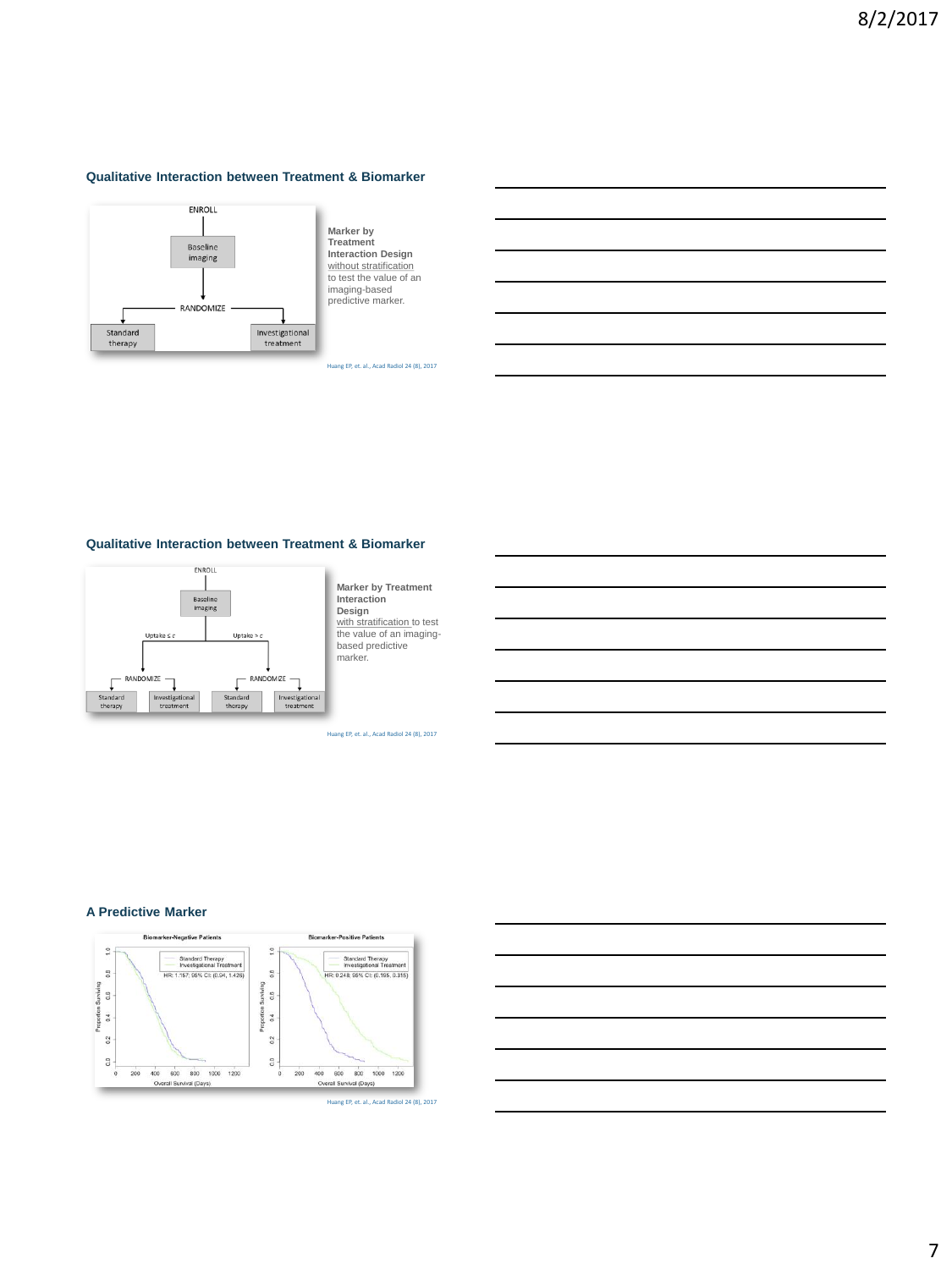## **Qualitative Interaction between Treatment & Biomarker**



**Marker by Treatment Interaction Design**  without stratification to test the value of an imaging-based predictive marker.

Huang EP, et. al., Acad Radiol 24 (8), 2017

#### **Qualitative Interaction between Treatment & Biomarker**



**Marker by Treatment Interaction Design**  with stratification to test the value of an imagingbased predictive marker.

Huang EP, et. al., Acad Radiol 24 (8), 2017

## **A Predictive Marker**



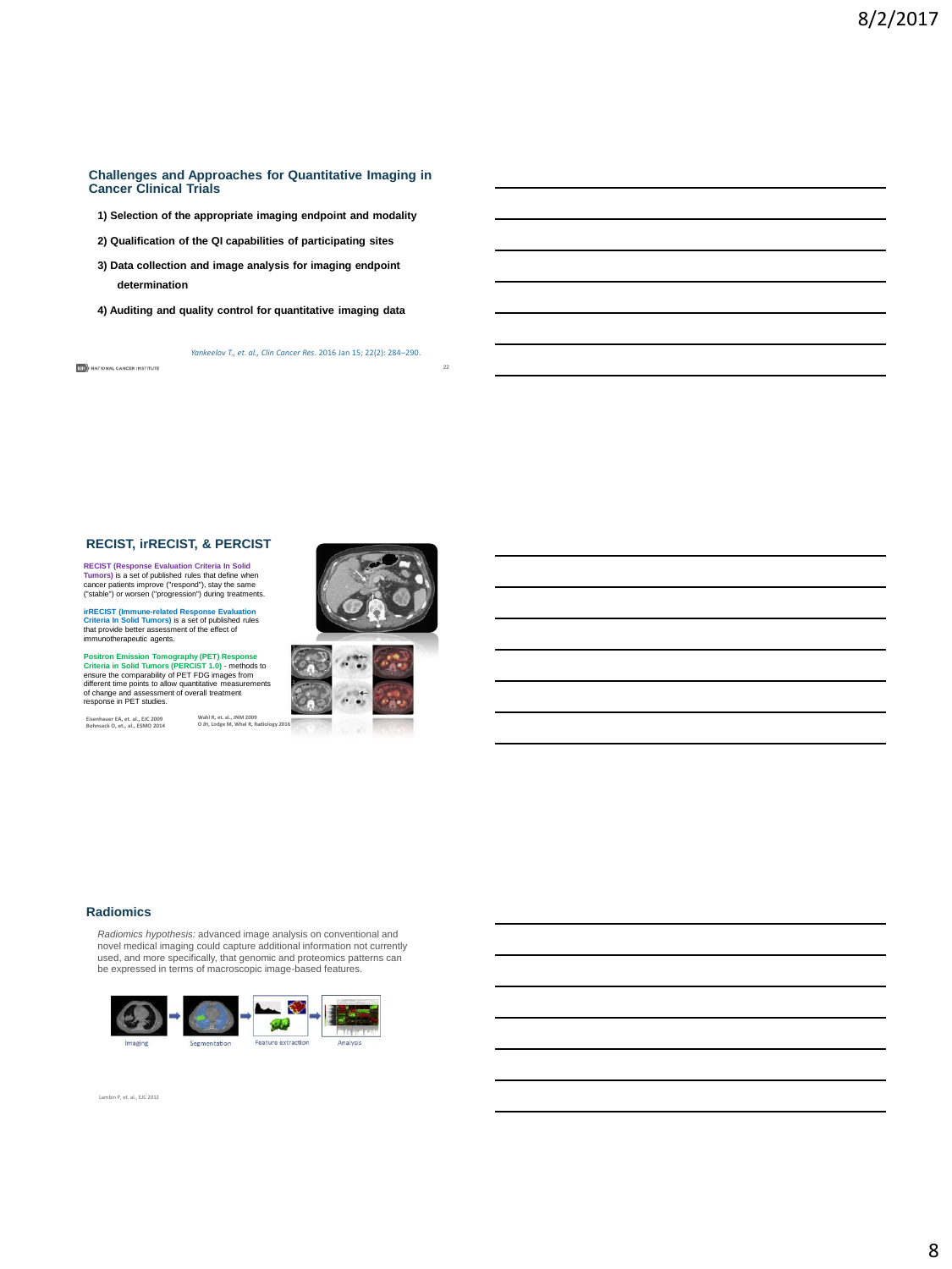#### **Challenges and Approaches for Quantitative Imaging in Cancer Clinical Trials**

- **1) Selection of the appropriate imaging endpoint and modality**
- **2) Qualification of the QI capabilities of participating sites**
- **3) Data collection and image analysis for imaging endpoint determination**
- **4) Auditing and quality control for quantitative imaging data**

*Yankeelov T., et. al., Clin Cancer Res*. 2016 Jan 15; 22(2): 284–290.

#### **RECIST, irRECIST, & PERCIST**

**RECIST (Response Evaluation Criteria In Solid Tumors)** is a set of published rules that define when<br>**Tumors)** is a set of published rules that define when<br>("stable") or worsen ("progression") during treatments.

**irRECIST (Immune-related Response Evaluation Criteria In Solid Tumors)** is a set of published rules that provide better assessment of the effect of immunotherapeutic agents.

Positron Emission Tomography (PET) Response<br>Criteria in Solid Tumors (PERCIST 1.0) - methods to<br>ensure the comparability of PET FDG images from<br>different time points to allow quantitative measurements<br>of change and assessm

**Eisenhauer EA, et. al., EJC 2009 Bohnsack O, et., al., ESMO 2014**

**NEW** NATIONAL CANCER INSTITUTE



**22**



## **Radiomics**

*Radiomics hypothesis:* advanced image analysis on conventional and<br>novel medical imaging could capture additional information not currently<br>used, and more specifically, that genomic and proteomics patterns can<br>be expresse



Lambin P, et. al., EJC 2012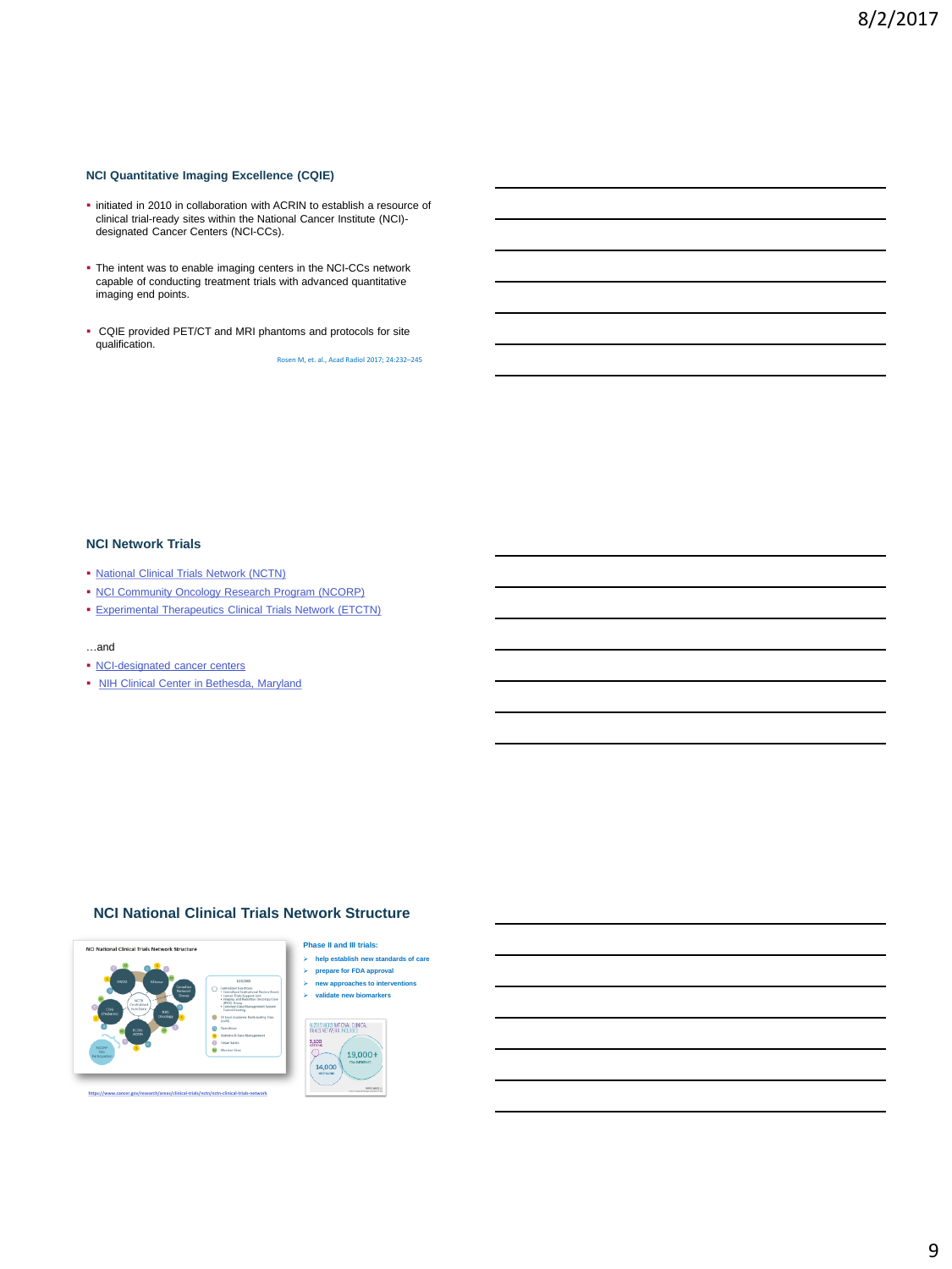## **NCI Quantitative Imaging Excellence (CQIE)**

- $\blacksquare$  initiated in 2010 in collaboration with ACRIN to establish a resource of clinical trial-ready sites within the National Cancer Institute (NCI) designated Cancer Centers (NCI-CCs).
- The intent was to enable imaging centers in the NCI-CCs network capable of conducting treatment trials with advanced quantitative imaging end points.
- CQIE provided PET/CT and MRI phantoms and protocols for site qualification.

Rosen M, et. al., Acad Radiol 2017; 24:232–245

#### **NCI Network Trials**

- **[National Clinical Trials Network \(NCTN\)](https://www.cancer.gov/research/areas/clinical-trials/nctn)**
- [NCI Community Oncology Research Program \(NCORP\)](http://ncorp.cancer.gov/)
- [Experimental Therapeutics Clinical Trials Network \(ETCTN\)](http://ctep.cancer.gov/initiativesPrograms/etctn.htm)

#### …and

- [NCI-designated cancer centers](https://www.cancer.gov/research/nci-role/cancer-centers)
- [NIH Clinical Center in Bethesda, Maryland](https://www.cancer.gov/about-cancer/treatment/clinical-trials/what-are-trials/where/clinical-center)

## **NCI National Clinical Trials Network Structure**



#### **Phase II and III trials:**

- **help establish new standards of care prepare for FDA approval**
- $\geq$  **new approaches to intervent**
- **validate new biomarkers**



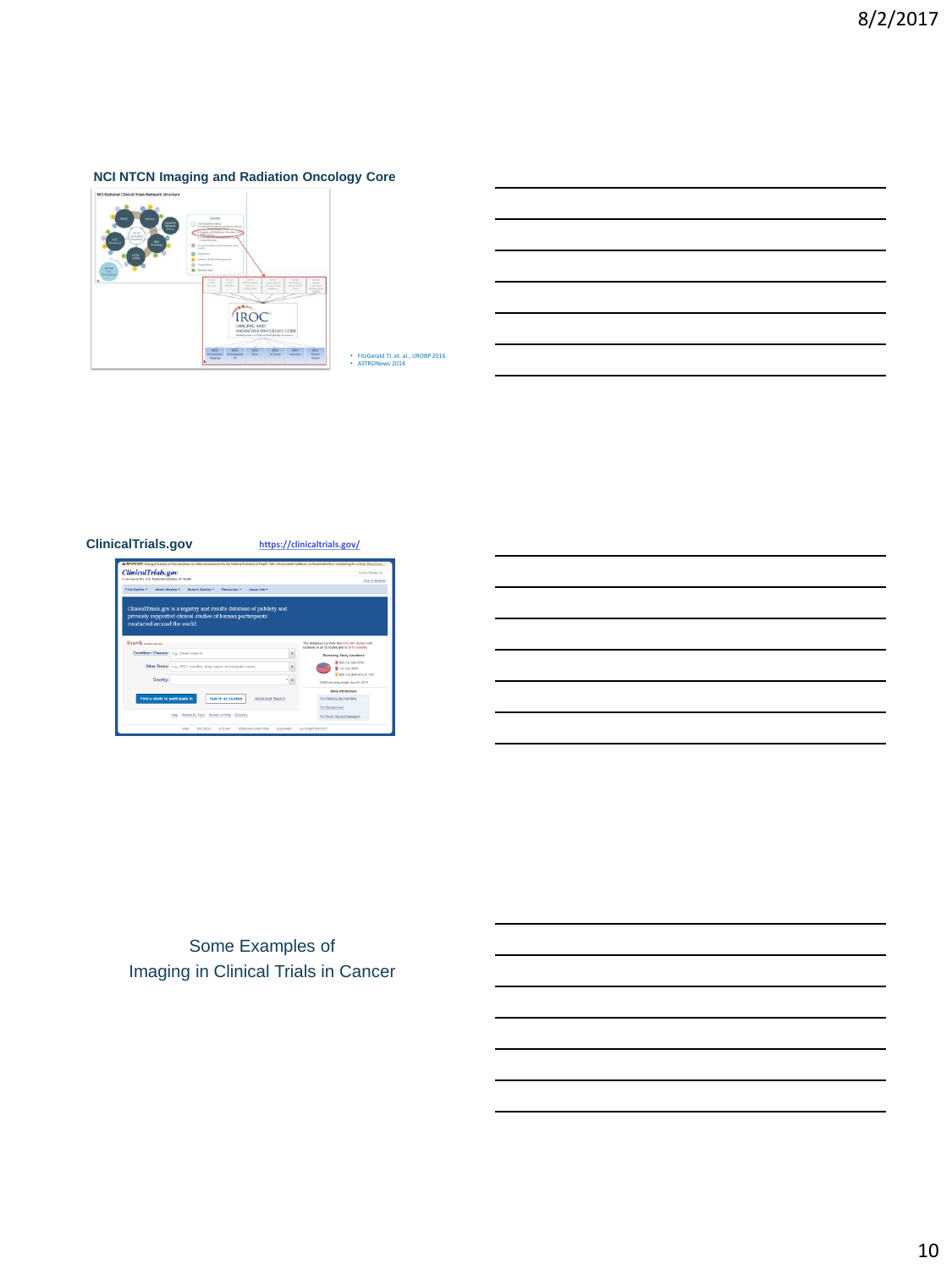# **NCI NTCN Imaging and Radiation Oncology Core**



• FitzGerald TJ, et. al., IJROBP 2016 • ASTRONews 2014

## **ClinicalTrials.gov <https://clinicaltrials.gov/>**



Some Examples of Imaging in Clinical Trials in Cancer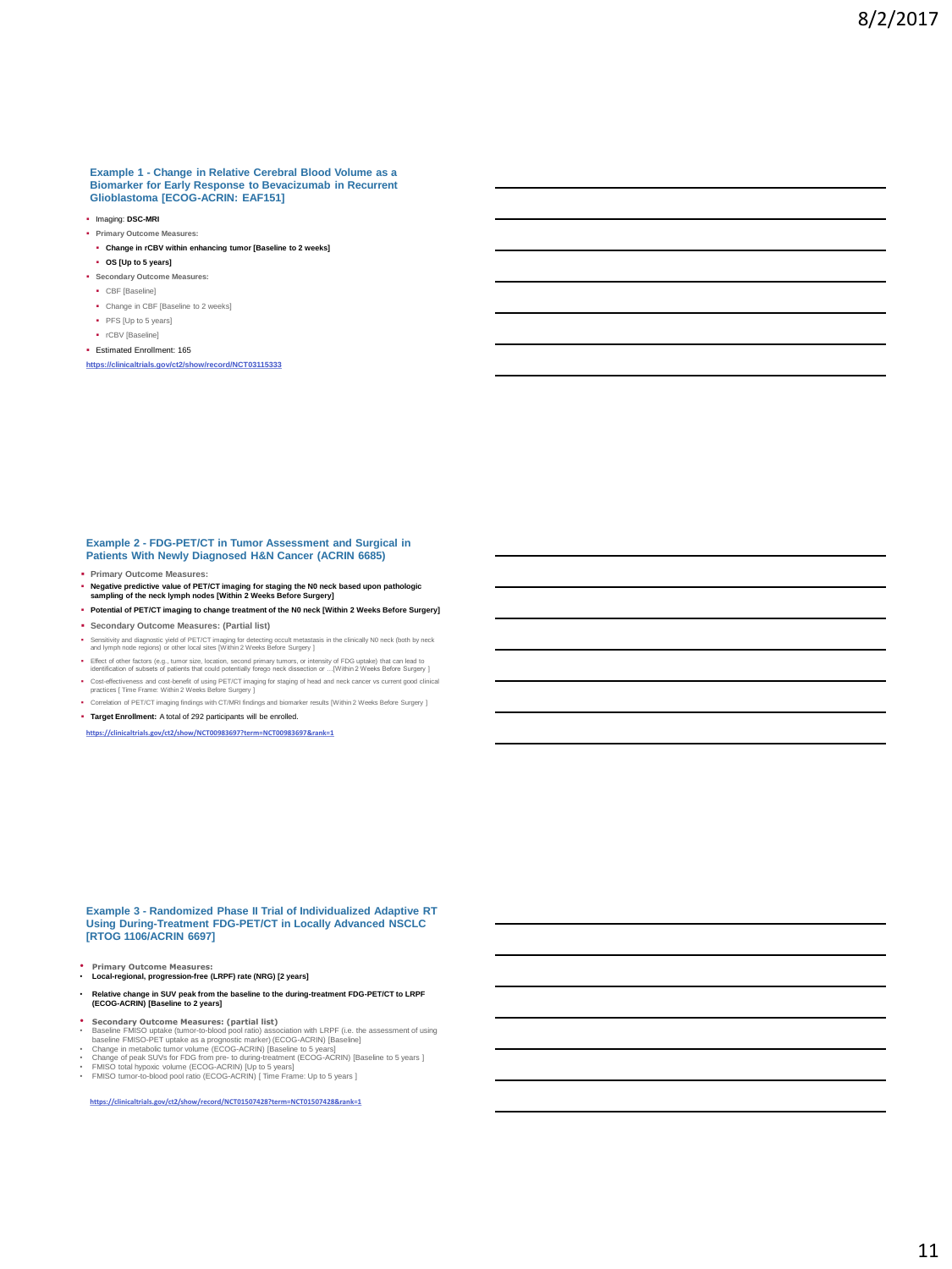#### **Example 1 - Change in Relative Cerebral Blood Volume as a Biomarker for Early Response to Bevacizumab in Recurrent Glioblastoma [ECOG-ACRIN: EAF151]**

- Imaging: **DSC-MRI**
- **Primary Outcome Measures:**
- **Change in rCBV within enhancing tumor [Baseline to 2 weeks]**
- **OS [Up to 5 years]**
- **Secondary Outcome Measures:**
- CBF [Baseline]
- Change in CBF [Baseline to 2 weeks]
- PFS [Up to 5 years]
- rCBV [Baseline]
- Estimated Enrollment: 165

**<https://clinicaltrials.gov/ct2/show/record/NCT03115333>**

# **Example 2 - FDG-PET/CT in Tumor Assessment and Surgical in Patients With Newly Diagnosed H&N Cancer (ACRIN 6685)**

- **Primary Outcome Measures:**
- **Negative predictive value of PET/CT imaging for staging the N0 neck based upon pathologic sampling of the neck lymph nodes [Within 2 Weeks Before Surgery]**
- **Potential of PET/CT imaging to change treatment of the N0 neck [Within 2 Weeks Before Surgery]**
- **Secondary Outcome Measures: (Partial list)**
- Sensitivity and diagnostic yield of PET/CT imaging for detecting occult metastasis in the clinically N0 neck (both by neck and lymph node regions) or other local sites [Within 2 Weeks Before Surgery ]
- Effect of other factors (e.g., tumor size, location, second primary tumors, or intensity of FDG uptake) that can lead to<br>identification of subsets of patients that could potentially forego neck dissection or ...[Within 2 W
- Cost-effectiveness and cost-benefit of using PET/CT imaging for staging of head and neck cancer vs current good clinical practices [ Time Frame: Within 2 Weeks Before Surgery ]
- Correlation of PET/CT imaging findings with CT/MRI findings and biomarker results [Within 2 Weeks Before Surgery ] **Target Enrollment:** A total of 292 participants will be enrolled.

**<https://clinicaltrials.gov/ct2/show/NCT00983697?term=NCT00983697&rank=1>**

**Example 3 - Randomized Phase II Trial of Individualized Adaptive RT Using During-Treatment FDG-PET/CT in Locally Advanced NSCLC [RTOG 1106/ACRIN 6697]** 

- **Primary Outcome Measures: Local-regional, progression-free (LRPF) rate (NRG) [2 years]**
- **Relative change in SUV peak from the baseline to the during-treatment FDG-PET/CT to LRPF (ECOG-ACRIN) [Baseline to 2 years]**
- 
- Secondary Outcome Measures: (partial list)<br>
Baseline FMISO uptake (tunnor-bolood pool ratio) association with LRPF (i.e. the assessment of using<br>
baseline FMISO-PET uptake as a prognositic marker) (ECOG-ACRIN) [Baseline]
- 
- 
- 

**<https://clinicaltrials.gov/ct2/show/record/NCT01507428?term=NCT01507428&rank=1>**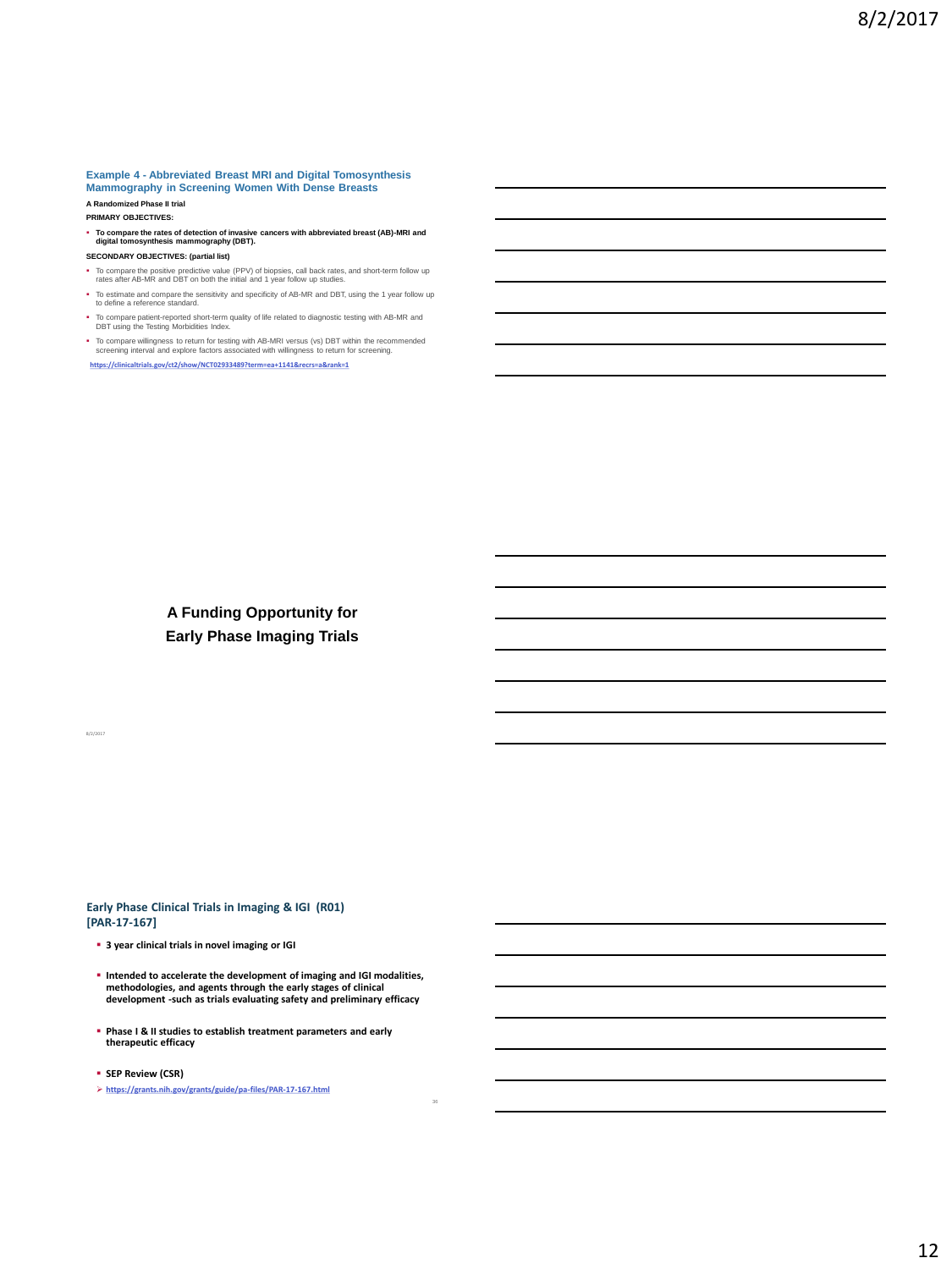#### **Example 4 - Abbreviated Breast MRI and Digital Tomosynthesis Mammography in Screening Women With Dense Breasts A Randomized Phase II trial**

**PRIMARY OBJECTIVES:**

- **To compare the rates of detection of invasive cancers with abbreviated breast (AB)-MRI and digital tomosynthesis mammography (DBT).**
- **SECONDARY OBJECTIVES: (partial list)**
- To compare the positive predictive value (PPV) of biopsies, call back rates, and short-term follow up rates after AB-MR and DBT on both the initial and 1 year follow up studies.
- To estimate and compare the sensitivity and specificity of AB-MR and DBT, using the 1 year follow up to define a reference standard.
- To compare patient-reported short-term quality of life related to diagnostic testing with AB-MR and DBT using the Testing Morbidities Index.
- To compare willingness to return for testing with AB-MRI versus (vs) DBT within the recommended screening interval and explore factors associated with willingness to return for screening. **<https://clinicaltrials.gov/ct2/show/NCT02933489?term=ea+1141&recrs=a&rank=1>**

**A Funding Opportunity for Early Phase Imaging Trials**

**Early Phase Clinical Trials in Imaging & IGI (R01) [PAR-17-167]**

**3 year clinical trials in novel imaging or IGI** 

 **Intended to accelerate the development of imaging and IGI modalities, methodologies, and agents through the early stages of clinical development -such as trials evaluating safety and preliminary efficacy**

36

- **Phase I & II studies to establish treatment parameters and early therapeutic efficacy**
- **SEP Review (CSR)**

8/2/2017

**<https://grants.nih.gov/grants/guide/pa-files/PAR-17-167.html>**